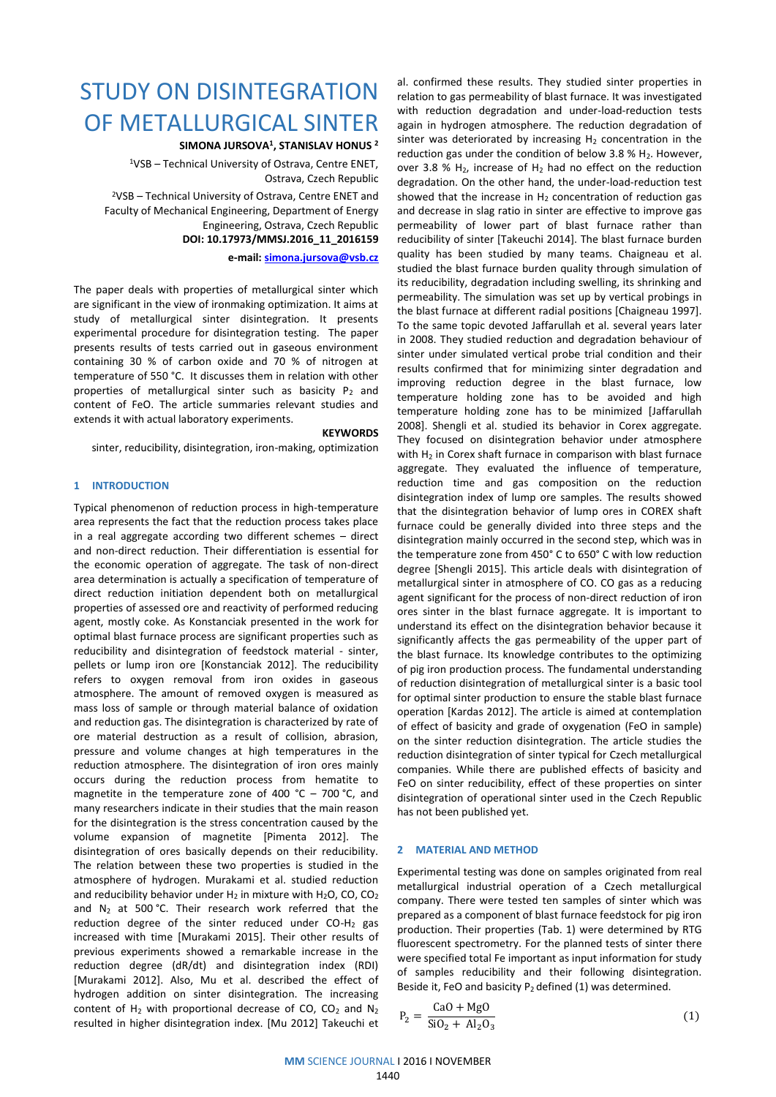# STUDY ON DISINTEGRATION OF METALLURGICAL SINTER

**SIMONA JURSOVA<sup>1</sup> , STANISLAV HONUS <sup>2</sup>**

<sup>1</sup>VSB – Technical University of Ostrava, Centre ENET, Ostrava, Czech Republic

<sup>2</sup>VSB – Technical University of Ostrava, Centre ENET and Faculty of Mechanical Engineering, Department of Energy Engineering, Ostrava, Czech Republic **DOI: 10.17973/MMSJ.2016\_11\_2016159**

**e-mail: [simona.jursova@vsb.cz](mailto:simona.jursova@vsb.cz)**

The paper deals with properties of metallurgical sinter which are significant in the view of ironmaking optimization. It aims at study of metallurgical sinter disintegration. It presents experimental procedure for disintegration testing. The paper presents results of tests carried out in gaseous environment containing 30 % of carbon oxide and 70 % of nitrogen at temperature of 550 °C. It discusses them in relation with other properties of metallurgical sinter such as basicity  $P_2$  and content of FeO. The article summaries relevant studies and extends it with actual laboratory experiments.

#### **KEYWORDS**

sinter, reducibility, disintegration, iron-making, optimization

### **1 INTRODUCTION**

Typical phenomenon of reduction process in high-temperature area represents the fact that the reduction process takes place in a real aggregate according two different schemes – direct and non-direct reduction. Their differentiation is essential for the economic operation of aggregate. The task of non-direct area determination is actually a specification of temperature of direct reduction initiation dependent both on metallurgical properties of assessed ore and reactivity of performed reducing agent, mostly coke. As Konstanciak presented in the work for optimal blast furnace process are significant properties such as reducibility and disintegration of feedstock material - sinter, pellets or lump iron ore [Konstanciak 2012]. The reducibility refers to oxygen removal from iron oxides in gaseous atmosphere. The amount of removed oxygen is measured as mass loss of sample or through material balance of oxidation and reduction gas. The disintegration is characterized by rate of ore material destruction as a result of collision, abrasion, pressure and volume changes at high temperatures in the reduction atmosphere. The disintegration of iron ores mainly occurs during the reduction process from hematite to magnetite in the temperature zone of 400 °C – 700 °C, and many researchers indicate in their studies that the main reason for the disintegration is the stress concentration caused by the volume expansion of magnetite [Pimenta 2012]. The disintegration of ores basically depends on their reducibility. The relation between these two properties is studied in the atmosphere of hydrogen. Murakami et al. studied reduction and reducibility behavior under  $H_2$  in mixture with  $H_2O$ , CO, CO<sub>2</sub> and  $N_2$  at 500 °C. Their research work referred that the reduction degree of the sinter reduced under  $CO-H<sub>2</sub>$  gas increased with time [Murakami 2015]. Their other results of previous experiments showed a remarkable increase in the reduction degree (dR/dt) and disintegration index (RDI) [Murakami 2012]. Also, Mu et al. described the effect of hydrogen addition on sinter disintegration. The increasing content of  $H_2$  with proportional decrease of CO, CO<sub>2</sub> and N<sub>2</sub> resulted in higher disintegration index. [Mu 2012] Takeuchi et

al. confirmed these results. They studied sinter properties in relation to gas permeability of blast furnace. It was investigated with reduction degradation and under-load-reduction tests again in hydrogen atmosphere. The reduction degradation of sinter was deteriorated by increasing  $H<sub>2</sub>$  concentration in the reduction gas under the condition of below  $3.8$  % H<sub>2</sub>. However, over 3.8 %  $H_2$ , increase of  $H_2$  had no effect on the reduction degradation. On the other hand, the under-load-reduction test showed that the increase in  $H_2$  concentration of reduction gas and decrease in slag ratio in sinter are effective to improve gas permeability of lower part of blast furnace rather than reducibility of sinter [Takeuchi 2014]. The blast furnace burden quality has been studied by many teams. Chaigneau et al. studied the blast furnace burden quality through simulation of its reducibility, degradation including swelling, its shrinking and permeability. The simulation was set up by vertical probings in the blast furnace at different radial positions [Chaigneau 1997]. To the same topic devoted Jaffarullah et al. several years later in 2008. They studied reduction and degradation behaviour of sinter under simulated vertical probe trial condition and their results confirmed that for minimizing sinter degradation and improving reduction degree in the blast furnace, low temperature holding zone has to be avoided and high temperature holding zone has to be minimized [Jaffarullah 2008]. Shengli et al. studied its behavior in Corex aggregate. They focused on disintegration behavior under atmosphere with  $H_2$  in Corex shaft furnace in comparison with blast furnace aggregate. They evaluated the influence of temperature, reduction time and gas composition on the reduction disintegration index of lump ore samples. The results showed that the disintegration behavior of lump ores in COREX shaft furnace could be generally divided into three steps and the disintegration mainly occurred in the second step, which was in the temperature zone from 450° C to 650° C with low reduction degree [Shengli 2015]. This article deals with disintegration of metallurgical sinter in atmosphere of CO. CO gas as a reducing agent significant for the process of non-direct reduction of iron ores sinter in the blast furnace aggregate. It is important to understand its effect on the disintegration behavior because it significantly affects the gas permeability of the upper part of the blast furnace. Its knowledge contributes to the optimizing of pig iron production process. The fundamental understanding of reduction disintegration of metallurgical sinter is a basic tool for optimal sinter production to ensure the stable blast furnace operation [Kardas 2012]. The article is aimed at contemplation of effect of basicity and grade of oxygenation (FeO in sample) on the sinter reduction disintegration. The article studies the reduction disintegration of sinter typical for Czech metallurgical companies. While there are published effects of basicity and FeO on sinter reducibility, effect of these properties on sinter disintegration of operational sinter used in the Czech Republic has not been published yet.

## **2 MATERIAL AND METHOD**

Experimental testing was done on samples originated from real metallurgical industrial operation of a Czech metallurgical company. There were tested ten samples of sinter which was prepared as a component of blast furnace feedstock for pig iron production. Their properties (Tab. 1) were determined by RTG fluorescent spectrometry. For the planned tests of sinter there were specified total Fe important as input information for study of samples reducibility and their following disintegration. Beside it, FeO and basicity  $P_2$  defined (1) was determined.

$$
P_2 = \frac{CaO + MgO}{SiO_2 + Al_2O_3}
$$
 (1)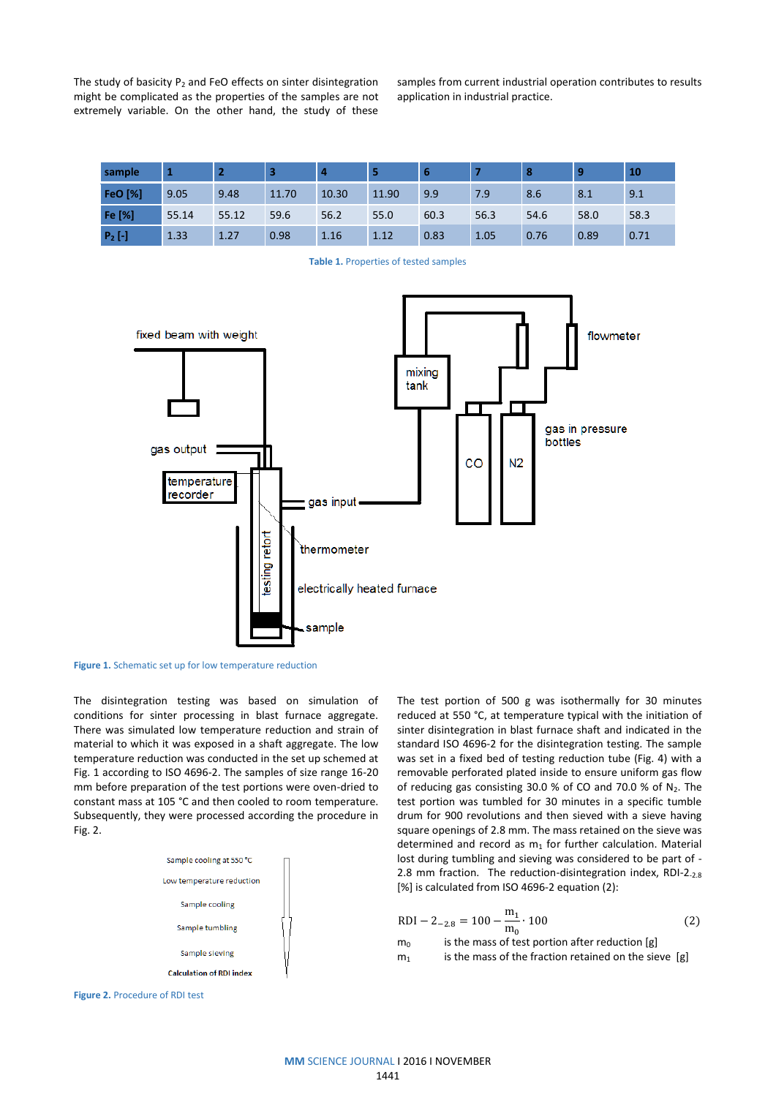The study of basicity  $P_2$  and FeO effects on sinter disintegration might be complicated as the properties of the samples are not extremely variable. On the other hand, the study of these samples from current industrial operation contributes to results application in industrial practice.

| sample         |       |       | 3     | -4    |       | 6    |      | <b>8</b> |      | 10   |
|----------------|-------|-------|-------|-------|-------|------|------|----------|------|------|
| <b>FeO</b> [%] | 9.05  | 9.48  | 11.70 | 10.30 | 11.90 | 9.9  | 7.9  | 8.6      | 8.1  | 9.1  |
| Fe [%]         | 55.14 | 55.12 | 59.6  | 56.2  | 55.0  | 60.3 | 56.3 | 54.6     | 58.0 | 58.3 |
| $P_2$ [-]      | 1.33  | 1.27  | 0.98  | 1.16  | 1.12  | 0.83 | 1.05 | 0.76     | 0.89 | 0.71 |





**Figure 1.** Schematic set up for low temperature reduction

The disintegration testing was based on simulation of conditions for sinter processing in blast furnace aggregate. There was simulated low temperature reduction and strain of material to which it was exposed in a shaft aggregate. The low temperature reduction was conducted in the set up schemed at Fig. 1 according to ISO 4696-2. The samples of size range 16-20 mm before preparation of the test portions were oven-dried to constant mass at 105 °C and then cooled to room temperature. Subsequently, they were processed according the procedure in Fig. 2.



The test portion of 500 g was isothermally for 30 minutes reduced at 550 °C, at temperature typical with the initiation of sinter disintegration in blast furnace shaft and indicated in the standard ISO 4696-2 for the disintegration testing. The sample was set in a fixed bed of testing reduction tube (Fig. 4) with a removable perforated plated inside to ensure uniform gas flow of reducing gas consisting 30.0 % of CO and 70.0 % of  $N_2$ . The test portion was tumbled for 30 minutes in a specific tumble drum for 900 revolutions and then sieved with a sieve having square openings of 2.8 mm. The mass retained on the sieve was determined and record as  $m_1$  for further calculation. Material lost during tumbling and sieving was considered to be part of - 2.8 mm fraction. The reduction-disintegration index, RDI-2.2.8 [%] is calculated from ISO 4696-2 equation (2):

$$
RDI - 2_{-2.8} = 100 - \frac{m_1}{m_0} \cdot 100
$$
 (2)

 $m_0$  is the mass of test portion after reduction [g]

 $m_1$  is the mass of the fraction retained on the sieve [g]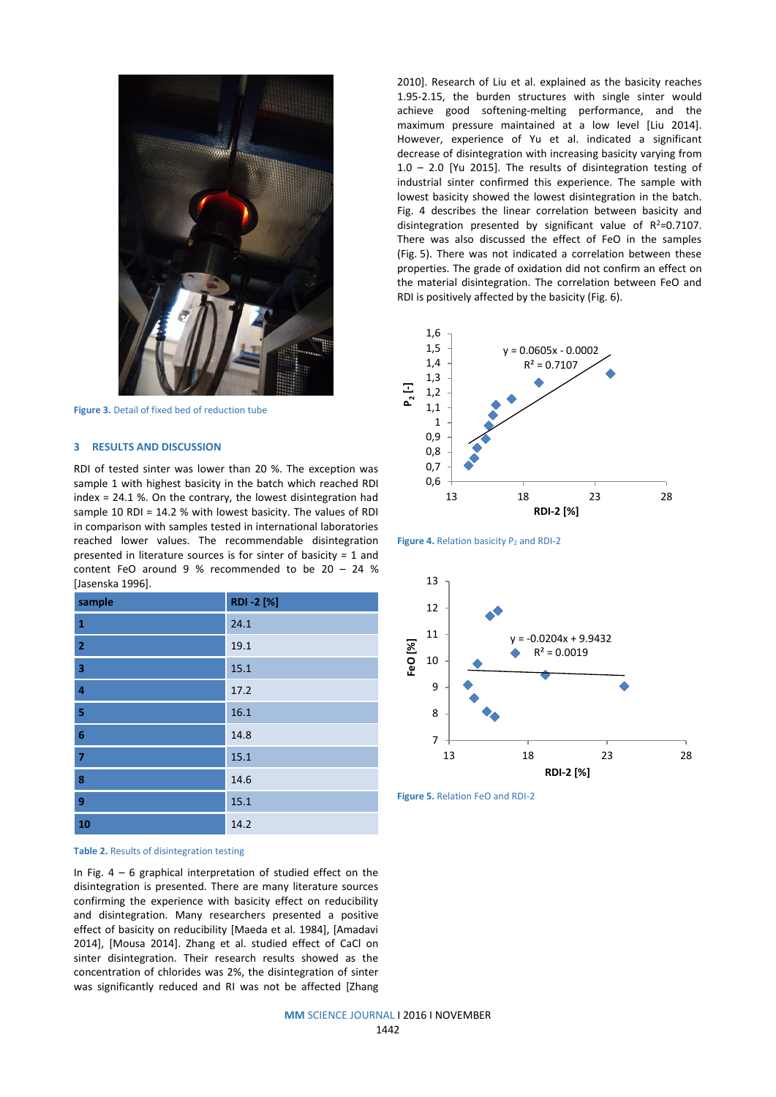

**Figure 3.** Detail of fixed bed of reduction tube

### **3 RESULTS AND DISCUSSION**

RDI of tested sinter was lower than 20 %. The exception was sample 1 with highest basicity in the batch which reached RDI index = 24.1 %. On the contrary, the lowest disintegration had sample 10 RDI = 14.2 % with lowest basicity. The values of RDI in comparison with samples tested in international laboratories reached lower values. The recommendable disintegration presented in literature sources is for sinter of basicity = 1 and content FeO around 9 % recommended to be 20 – 24 % [Jasenska 1996].

| sample                  | RDI-2 [%] |
|-------------------------|-----------|
| $\mathbf{1}$            | 24.1      |
| $\overline{2}$          | 19.1      |
| $\overline{\mathbf{3}}$ | 15.1      |
| $\overline{4}$          | 17.2      |
| $\overline{\mathbf{5}}$ | 16.1      |
| $\boldsymbol{6}$        | 14.8      |
| $\overline{7}$          | 15.1      |
| $\boldsymbol{8}$        | 14.6      |
| $\overline{9}$          | 15.1      |
| 10                      | 14.2      |



In Fig.  $4 - 6$  graphical interpretation of studied effect on the disintegration is presented. There are many literature sources confirming the experience with basicity effect on reducibility and disintegration. Many researchers presented a positive effect of basicity on reducibility [Maeda et al. 1984], [Amadavi 2014], [Mousa 2014]. Zhang et al. studied effect of CaCl on sinter disintegration. Their research results showed as the concentration of chlorides was 2%, the disintegration of sinter was significantly reduced and RI was not be affected [Zhang 2010]. Research of Liu et al. explained as the basicity reaches 1.95-2.15, the burden structures with single sinter would achieve good softening-melting performance, and the maximum pressure maintained at a low level [Liu 2014]. However, experience of Yu et al. indicated a significant decrease of disintegration with increasing basicity varying from 1.0 – 2.0 [Yu 2015]. The results of disintegration testing of industrial sinter confirmed this experience. The sample with lowest basicity showed the lowest disintegration in the batch. Fig. 4 describes the linear correlation between basicity and disintegration presented by significant value of  $R^2=0.7107$ . There was also discussed the effect of FeO in the samples (Fig. 5). There was not indicated a correlation between these properties. The grade of oxidation did not confirm an effect on the material disintegration. The correlation between FeO and RDI is positively affected by the basicity (Fig. 6).







**Figure 5.** Relation FeO and RDI-2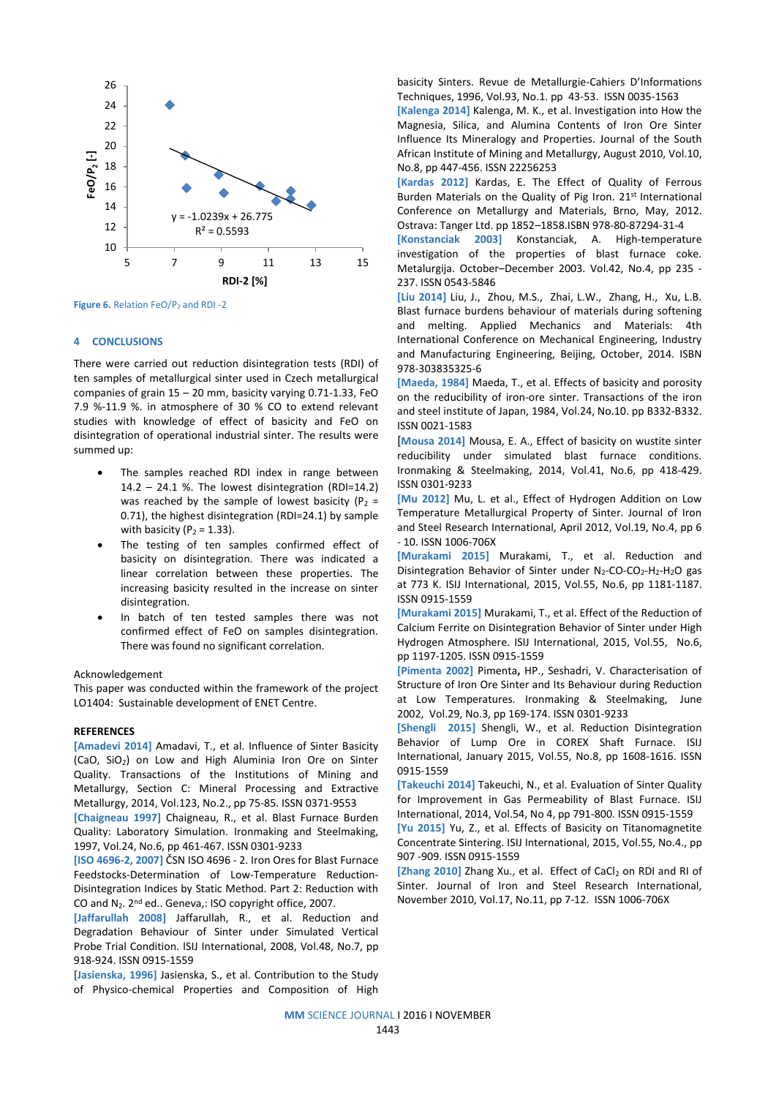

Figure 6. Relation FeO/P<sub>2</sub> and RDI -2

# **4 CONCLUSIONS**

There were carried out reduction disintegration tests (RDI) of ten samples of metallurgical sinter used in Czech metallurgical companies of grain 15 – 20 mm, basicity varying 0.71-1.33, FeO 7.9 %-11.9 %. in atmosphere of 30 % CO to extend relevant studies with knowledge of effect of basicity and FeO on disintegration of operational industrial sinter. The results were summed up:

- The samples reached RDI index in range between  $14.2 - 24.1$  %. The lowest disintegration (RDI=14.2) was reached by the sample of lowest basicity ( $P_2$  = 0.71), the highest disintegration (RDI=24.1) by sample with basicity ( $P_2 = 1.33$ ).
- The testing of ten samples confirmed effect of basicity on disintegration. There was indicated a linear correlation between these properties. The increasing basicity resulted in the increase on sinter disintegration.
- In batch of ten tested samples there was not confirmed effect of FeO on samples disintegration. There was found no significant correlation.

#### Acknowledgement

This paper was conducted within the framework of the project LO1404: Sustainable development of ENET Centre.

## **REFERENCES**

**[Amadevi 2014]** Amadavi, T., et al. Influence of Sinter Basicity (CaO, SiO2) on Low and High Aluminia Iron Ore on Sinter Quality. Transactions of the Institutions of Mining and Metallurgy, Section C: Mineral Processing and Extractive Metallurgy, 2014, Vol.123, No.2., pp 75-85. ISSN 0371-9553

**[Chaigneau 1997]** Chaigneau, R., et al. Blast Furnace Burden Quality: Laboratory Simulation. Ironmaking and Steelmaking, 1997, Vol.24, No.6, pp 461-467. ISSN 0301-9233

**[ISO 4696-2, 2007]** ČSN ISO 4696 - 2. Iron Ores for Blast Furnace Feedstocks-Determination of Low-Temperature Reduction-Disintegration Indices by Static Method. Part 2: Reduction with CO and N<sub>2</sub>. 2<sup>nd</sup> ed.. Geneva,: ISO copyright office, 2007.

**[Jaffarullah 2008]** Jaffarullah, R., et al. Reduction and Degradation Behaviour of Sinter under Simulated Vertical Probe Trial Condition. ISIJ [International, 2008, Vol.4](javascript:;)8, No.7, pp 918-924. ISSN 0915-1559

[**Jasienska, 1996]** Jasienska, S., et al. [Contribution to the Study](http://apps.webofknowledge.com/full_record.do?product=UA&search_mode=GeneralSearch&qid=11&SID=Q2ZTvi27sDJeXuDAAdE&page=2&doc=17)  [of Physico-chemical Properties and Composition of High](http://apps.webofknowledge.com/full_record.do?product=UA&search_mode=GeneralSearch&qid=11&SID=Q2ZTvi27sDJeXuDAAdE&page=2&doc=17)  [basicity Sinters.](http://apps.webofknowledge.com/full_record.do?product=UA&search_mode=GeneralSearch&qid=11&SID=Q2ZTvi27sDJeXuDAAdE&page=2&doc=17) Revue de Metallurgie-Cahiers D'Informations Techniques, 1996, Vol.93, No.1. pp 43-53. ISSN 0035-1563

**[Kalenga 2014]** Kalenga, M. K., et al. Investigation into How the Magnesia, Silica, and Alumina Contents of Iron Ore Sinter Influence Its Mineralogy and Properties. Journal of the South African Institute of Mining and Metallurgy, August 2010, Vol.10, No.8, pp 447-456. ISSN 22256253

**[Kardas 2012]** Kardas, E. The Effect of Quality of Ferrous Burden Materials on the Quality of Pig Iron. 21st International Conference on Metallurgy and Materials, Brno, May, 2012. Ostrava: Tanger Ltd. pp 1852–1858.ISBN 978-80-87294-31-4

**[Konstanciak 2003]** Konstanciak, A. High-temperature investigation of the properties of blast furnace coke. Metalurgija. October–December 2003. Vol.42, No.4, pp 235 - 237. ISSN 0543-5846

**[Liu 2014]** Liu, J., Zhou, M.S., Zhai, L.W., Zhang, H., Xu, L.B. Blast furnace burdens behaviour of materials during softening and melting. Applied Mechanics and Materials: 4th International Conference on Mechanical Engineering, Industry and Manufacturing Engineering, Beijing, October, 2014. ISBN 978-303835325-6

**[Maeda, 1984]** Maeda, T., et al. Effects of basicity and porosity on the reducibility of iron-ore sinter. Transactions of the iron and steel institute of Japan, 1984, Vol.24, No.10. pp B332-B332. ISSN 0021-1583

[**Mousa 2014]** Mousa, E. A., Effect of basicity on wustite sinter reducibility under simulated blast furnace conditions. Ironmaking & Steelmaking, 2014, Vol.41, No.6, pp 418-429. ISSN 0301-9233

**[Mu 2012]** Mu, L. et al., Effect of Hydrogen Addition on Low Temperature Metallurgical Property of Sinter. Journal of Iron and Steel Research International, April 2012, Vol.19, No.4, pp 6 - 10. ISSN 1006-706X

**[Murakami 2015]** Murakami, T., et al. Reduction and Disintegration Behavior of Sinter under  $N_2$ -CO-CO<sub>2</sub>-H<sub>2</sub>-H<sub>2</sub>O gas at 773 K. [ISIJ International,](http://www.scopus.com/source/sourceInfo.uri?sourceId=12148&origin=recordpage) 2015, Vol.55, No.6, pp 1181-1187. ISSN 0915-1559

**[Murakami 2015]** Murakami, T., et al. [Effect of the Reduction of](https://www.scopus.com/record/display.uri?eid=2-s2.0-84937019553&origin=resultslist&sort=plf-f&src=s&st1=disintegration+sinter&st2=&sid=A10B9CF25ED66CC68BC4BA13FC339802.WlW7NKKC52nnQNxjqAQrlA%3a10&sot=b&sdt=b&sl=36&s=TITLE-ABS-KEY%28disintegration+sinter%29&relpos=1&citeCnt=0&searchTerm=)  [Calcium Ferrite on Disintegration Behavior of Sinter under High](https://www.scopus.com/record/display.uri?eid=2-s2.0-84937019553&origin=resultslist&sort=plf-f&src=s&st1=disintegration+sinter&st2=&sid=A10B9CF25ED66CC68BC4BA13FC339802.WlW7NKKC52nnQNxjqAQrlA%3a10&sot=b&sdt=b&sl=36&s=TITLE-ABS-KEY%28disintegration+sinter%29&relpos=1&citeCnt=0&searchTerm=)  [Hydrogen Atmosphere.](https://www.scopus.com/record/display.uri?eid=2-s2.0-84937019553&origin=resultslist&sort=plf-f&src=s&st1=disintegration+sinter&st2=&sid=A10B9CF25ED66CC68BC4BA13FC339802.WlW7NKKC52nnQNxjqAQrlA%3a10&sot=b&sdt=b&sl=36&s=TITLE-ABS-KEY%28disintegration+sinter%29&relpos=1&citeCnt=0&searchTerm=) ISIJ International, 2015, Vol.55, [No.6,](https://www.jstage.jst.go.jp/AF06S010SryTopHyj?sryCd=isijinternational&noVol=55&noIssue=6)  pp 1197-1205. ISSN 0915-1559

**[Pimenta 2002]** Pimenta**,** HP., Seshadri, V. Characterisation of Structure of Iron Ore Sinter and Its Behaviour during Reduction at Low Temperatures. [Ironmaking & Steelmaking, J](javascript:;)une 2002, Vol.29, No.3, pp 169-174. ISSN 0301-9233

**[Shengli 2015]** Shengli, W., et al. Reduction Disintegration Behavior of Lump Ore in COREX Shaft Furnace. ISIJ International, January 2015, Vol.55, No.8, pp 1608-1616. ISSN 0915-1559

**[Takeuchi 2014]** Takeuchi, N., et al. Evaluation of Sinter Quality for Improvement in Gas Permeability of Blast Furnace. ISIJ International, 2014, Vol.54, No 4, pp 791-800. ISSN 0915-1559

**[Yu 2015]** [Yu, Z.,](https://www.scopus.com/authid/detail.uri?authorId=55657730700&eid=2-s2.0-84928486541) et al. Effects of Basicity on Titanomagnetite Concentrate Sintering. ISIJ International, 2015, Vol.55, No.4., pp 907 -909. ISSN 0915-1559

[Zhang 2010] Zhang Xu., et al. Effect of CaCl<sub>2</sub> on RDI and RI of Sinter. [Journal of Iron and Steel Research International,](javascript:;)  [November 2010, Vol.1](javascript:;)7, No.11, pp 7-12. ISSN 1006-706X